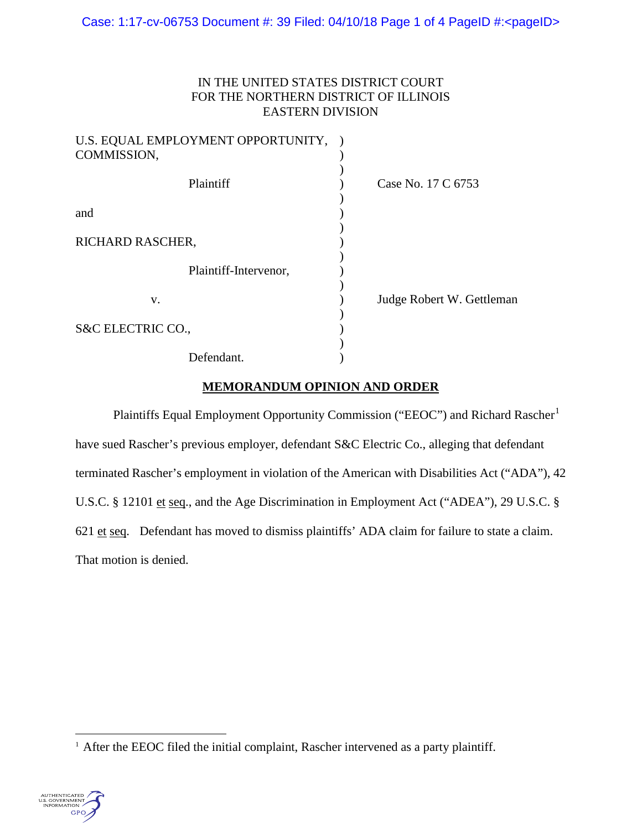### IN THE UNITED STATES DISTRICT COURT FOR THE NORTHERN DISTRICT OF ILLINOIS EASTERN DIVISION

| U.S. EQUAL EMPLOYMENT OPPORTUNITY,<br>COMMISSION, |                           |
|---------------------------------------------------|---------------------------|
| Plaintiff                                         | Case No. 17 C 6753        |
| and                                               |                           |
| RICHARD RASCHER,                                  |                           |
| Plaintiff-Intervenor,                             |                           |
| V.                                                | Judge Robert W. Gettleman |
| S&C ELECTRIC CO.,                                 |                           |
| Defendant.                                        |                           |

## **MEMORANDUM OPINION AND ORDER**

Plaintiffs Equal Employment Opportunity Commission ("EEOC") and Richard Rascher<sup>[1](#page-0-0)</sup> have sued Rascher's previous employer, defendant S&C Electric Co., alleging that defendant terminated Rascher's employment in violation of the American with Disabilities Act ("ADA"), 42 U.S.C. § 12101 et seq., and the Age Discrimination in Employment Act ("ADEA"), 29 U.S.C. § 621 et seq. Defendant has moved to dismiss plaintiffs' ADA claim for failure to state a claim. That motion is denied.

<span id="page-0-0"></span><sup>&</sup>lt;sup>1</sup> After the EEOC filed the initial complaint, Rascher intervened as a party plaintiff.

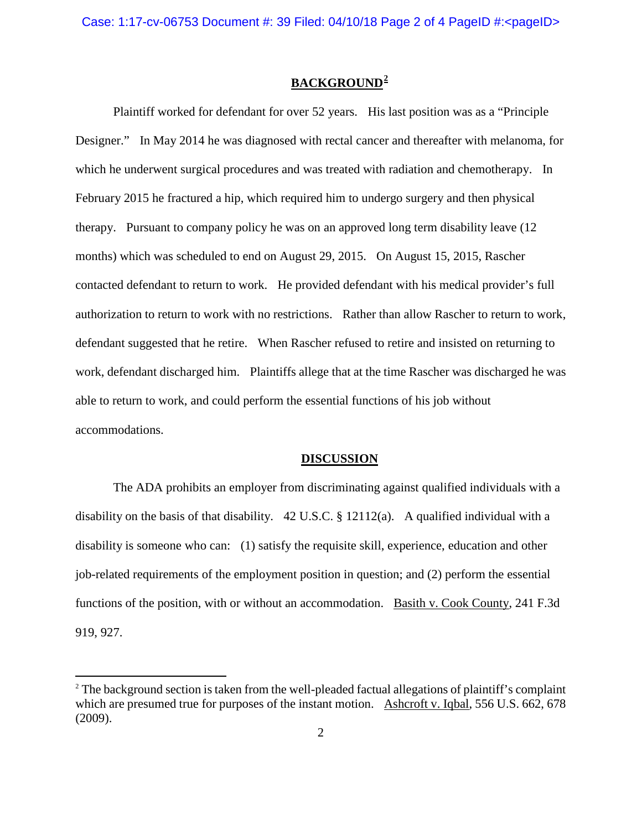# **BACKGROUND[2](#page-1-0)**

Plaintiff worked for defendant for over 52 years. His last position was as a "Principle Designer." In May 2014 he was diagnosed with rectal cancer and thereafter with melanoma, for which he underwent surgical procedures and was treated with radiation and chemotherapy. In February 2015 he fractured a hip, which required him to undergo surgery and then physical therapy. Pursuant to company policy he was on an approved long term disability leave (12 months) which was scheduled to end on August 29, 2015. On August 15, 2015, Rascher contacted defendant to return to work. He provided defendant with his medical provider's full authorization to return to work with no restrictions. Rather than allow Rascher to return to work, defendant suggested that he retire. When Rascher refused to retire and insisted on returning to work, defendant discharged him. Plaintiffs allege that at the time Rascher was discharged he was able to return to work, and could perform the essential functions of his job without accommodations.

#### **DISCUSSION**

The ADA prohibits an employer from discriminating against qualified individuals with a disability on the basis of that disability. 42 U.S.C. § 12112(a). A qualified individual with a disability is someone who can: (1) satisfy the requisite skill, experience, education and other job-related requirements of the employment position in question; and (2) perform the essential functions of the position, with or without an accommodation. Basith v. Cook County, 241 F.3d 919, 927.

<span id="page-1-0"></span><sup>&</sup>lt;sup>2</sup> The background section is taken from the well-pleaded factual allegations of plaintiff's complaint which are presumed true for purposes of the instant motion. Ashcroft v. Iqbal, 556 U.S. 662, 678 (2009).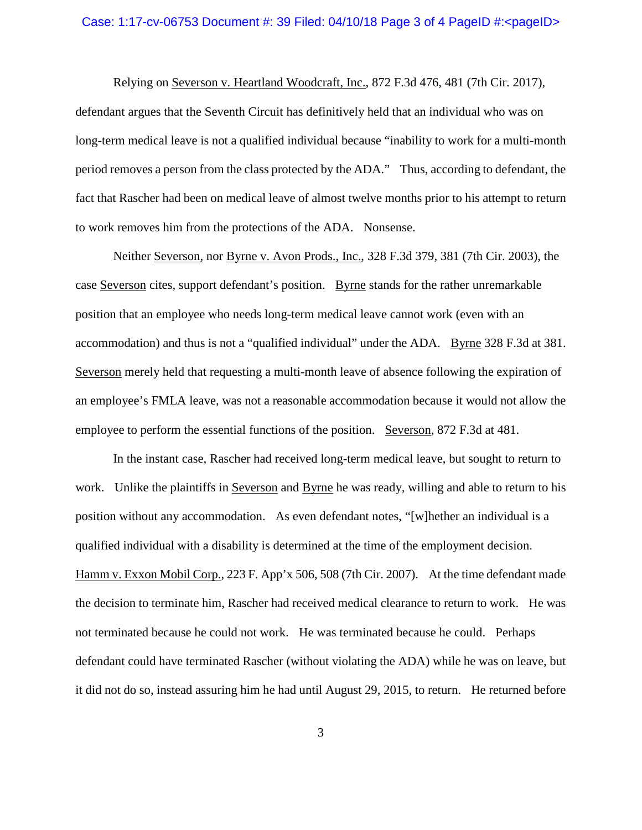#### Case: 1:17-cv-06753 Document #: 39 Filed: 04/10/18 Page 3 of 4 PageID #:<pageID>

Relying on Severson v. Heartland Woodcraft, Inc., 872 F.3d 476, 481 (7th Cir. 2017), defendant argues that the Seventh Circuit has definitively held that an individual who was on long-term medical leave is not a qualified individual because "inability to work for a multi-month period removes a person from the class protected by the ADA." Thus, according to defendant, the fact that Rascher had been on medical leave of almost twelve months prior to his attempt to return to work removes him from the protections of the ADA. Nonsense.

Neither Severson, nor Byrne v. Avon Prods., Inc., 328 F.3d 379, 381 (7th Cir. 2003), the case Severson cites, support defendant's position. Byrne stands for the rather unremarkable position that an employee who needs long-term medical leave cannot work (even with an accommodation) and thus is not a "qualified individual" under the ADA. Byrne 328 F.3d at 381. Severson merely held that requesting a multi-month leave of absence following the expiration of an employee's FMLA leave, was not a reasonable accommodation because it would not allow the employee to perform the essential functions of the position. Severson, 872 F.3d at 481.

In the instant case, Rascher had received long-term medical leave, but sought to return to work. Unlike the plaintiffs in Severson and Byrne he was ready, willing and able to return to his position without any accommodation. As even defendant notes, "[w]hether an individual is a qualified individual with a disability is determined at the time of the employment decision. Hamm v. Exxon Mobil Corp., 223 F. App'x 506, 508 (7th Cir. 2007). At the time defendant made the decision to terminate him, Rascher had received medical clearance to return to work. He was not terminated because he could not work. He was terminated because he could. Perhaps defendant could have terminated Rascher (without violating the ADA) while he was on leave, but it did not do so, instead assuring him he had until August 29, 2015, to return. He returned before